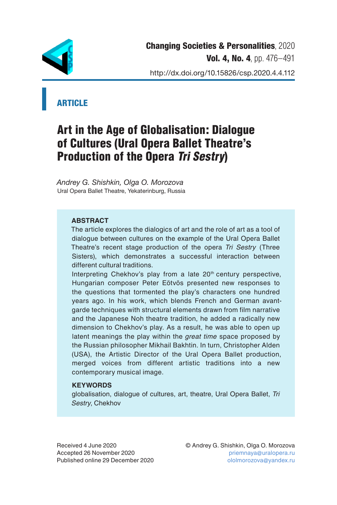

## **ARTICLE**

# Art in the Age of Globalisation: Dialogue of Cultures (Ural Opera Ballet Theatre's Production of the Opera Tri Sestry)

*Andrey G. Shishkin, Olga O. Morozova* Ural Opera Ballet Theatre, Yekaterinburg, Russia

## **ABSTRACT**

The article explores the dialogics of art and the role of art as a tool of dialogue between cultures on the example of the Ural Opera Ballet Theatre's recent stage production of the opera *Tri Sestry* (Three Sisters), which demonstrates a successful interaction between different cultural traditions.

Interpreting Chekhov's play from a late 20<sup>th</sup> century perspective, Hungarian composer Peter Eötvös presented new responses to the questions that tormented the play's characters one hundred years ago. In his work, which blends French and German avantgarde techniques with structural elements drawn from film narrative and the Japanese Noh theatre tradition, he added a radically new dimension to Chekhov's play. As a result, he was able to open up latent meanings the play within the *great time* space proposed by the Russian philosopher Mikhail Bakhtin. In turn, Christopher Alden (USA), the Artistic Director of the Ural Opera Ballet production, merged voices from different artistic traditions into a new contemporary musical image.

## **KEYWORDS**

globalisation, dialogue of cultures, art, theatre, Ural Opera Ballet, *Tri Sestry*, Chekhov

Received 4 June 2020 © Andrey G. Shishkin, Olga O. Morozova Accepted 26 November 2020 **primaya@uralopera.ru** priemnaya@uralopera.ru Published online 29 December 2020 ololmorozova@yandex.ru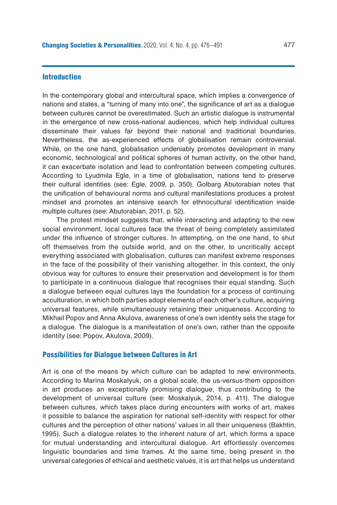## Introduction

In the contemporary global and intercultural space, which implies a convergence of nations and states, a "turning of many into one", the significance of art as a dialogue between cultures cannot be overestimated. Such an artistic dialogue is instrumental in the emergence of new cross-national audiences, which help individual cultures disseminate their values far beyond their national and traditional boundaries. Nevertheless, the as-experienced effects of globalisation remain controversial. While, on the one hand, globalisation undeniably promotes development in many economic, technological and political spheres of human activity, on the other hand, it can exacerbate isolation and lead to confrontation between competing cultures. According to Lyudmila Egle, in a time of globalisation, nations tend to preserve their cultural identities (see: Egle, 2009, p. 350). Golbarg Abutorabian notes that the unification of behavioural norms and cultural manifestations produces a protest mindset and promotes an intensive search for ethnocultural identification inside multiple cultures (see: Abutorabian, 2011, p. 52).

The protest mindset suggests that, while interacting and adapting to the new social environment, local cultures face the threat of being completely assimilated under the influence of stronger cultures. In attempting, on the one hand, to shut off themselves from the outside world, and on the other, to uncritically accept everything associated with globalisation, cultures can manifest extreme responses in the face of the possibility of their vanishing altogether. In this context, the only obvious way for cultures to ensure their preservation and development is for them to participate in a continuous dialogue that recognises their equal standing. Such a dialogue between equal cultures lays the foundation for a process of continuing acculturation, in which both parties adopt elements of each other's culture, acquiring universal features, while simultaneously retaining their uniqueness. According to Mikhail Popov and Anna Akulova, awareness of one's own identity sets the stage for a dialogue. The dialogue is a manifestation of one's own, rather than the opposite identity (see: Popov, Akulova, 2009).

#### Possibilities for Dialogue between Cultures in Art

Art is one of the means by which culture can be adapted to new environments. According to Marina Moskalyuk, on a global scale, the us-versus-them opposition in art produces an exceptionally promising dialogue, thus contributing to the development of universal culture (see: Moskalyuk, 2014, p. 411). The dialogue between cultures, which takes place during encounters with works of art, makes it possible to balance the aspiration for national self-identity with respect for other cultures and the perception of other nations' values in all their uniqueness (Bakhtin, 1995). Such a dialogue relates to the inherent nature of art, which forms a space for mutual understanding and intercultural dialogue. Art effortlessly overcomes linguistic boundaries and time frames. At the same time, being present in the universal categories of ethical and aesthetic values, it is art that helps us understand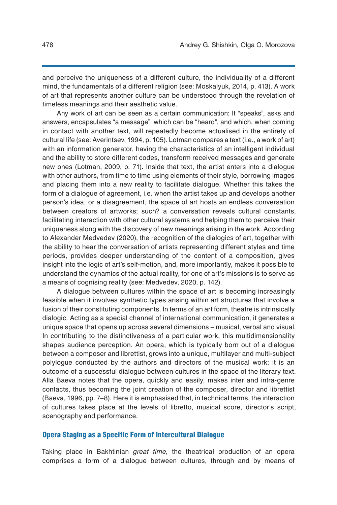and perceive the uniqueness of a different culture, the individuality of a different mind, the fundamentals of a different religion (see: Moskalyuk, 2014, p. 413). A work of art that represents another culture can be understood through the revelation of timeless meanings and their aesthetic value.

Any work of art can be seen as a certain communication: It "speaks", asks and answers, encapsulates "a message", which can be "heard", and which, when coming in contact with another text, will repeatedly become actualised in the entirety of cultural life (see: Averintsev, 1994, p. 105). Lotman compares a text (i.e., a work of art) with an information generator, having the characteristics of an intelligent individual and the ability to store different codes, transform received messages and generate new ones (Lotman, 2009, p. 71). Inside that text, the artist enters into a dialogue with other authors, from time to time using elements of their style, borrowing images and placing them into a new reality to facilitate dialogue. Whether this takes the form of a dialogue of agreement, i.e. when the artist takes up and develops another person's idea, or a disagreement, the space of art hosts an endless conversation between creators of artworks; such? a conversation reveals cultural constants, facilitating interaction with other cultural systems and helping them to perceive their uniqueness along with the discovery of new meanings arising in the work. According to Alexander Medvedev (2020), the recognition of the dialogics of art, together with the ability to hear the conversation of artists representing different styles and time periods, provides deeper understanding of the content of a composition, gives insight into the logic of art's self-motion, and, more importantly, makes it possible to understand the dynamics of the actual reality, for one of art's missions is to serve as a means of cognising reality (see: Medvedev, 2020, p. 142).

A dialogue between cultures within the space of art is becoming increasingly feasible when it involves synthetic types arising within art structures that involve a fusion of their constituting components. In terms of an art form, theatre is intrinsically dialogic. Acting as a special channel of international communication, it generates a unique space that opens up across several dimensions – musical, verbal and visual. In contributing to the distinctiveness of a particular work, this multidimensionality shapes audience perception. An opera, which is typically born out of a dialogue between a composer and librettist, grows into a unique, multilayer and multi-subject polylogue conducted by the authors and directors of the musical work; it is an outcome of a successful dialogue between cultures in the space of the literary text. Alla Baeva notes that the opera, quickly and easily, makes inter and intra-genre contacts, thus becoming the joint creation of the composer, director and librettist (Baeva, 1996, pp. 7–8). Here it is emphasised that, in technical terms, the interaction of cultures takes place at the levels of libretto, musical score, director's script, scenography and performance.

## Opera Staging as a Specific Form of Intercultural Dialogue

Taking place in Bakhtinian *great time*, the theatrical production of an opera comprises a form of a dialogue between cultures, through and by means of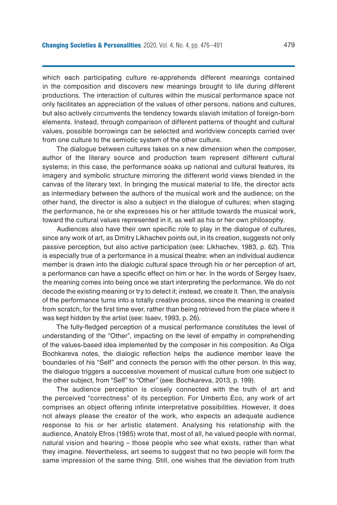which each participating culture re-apprehends different meanings contained in the composition and discovers new meanings brought to life during different productions. The interaction of cultures within the musical performance space not only facilitates an appreciation of the values of other persons, nations and cultures, but also actively circumvents the tendency towards slavish imitation of foreign-born elements. Instead, through comparison of different patterns of thought and cultural values, possible borrowings can be selected and worldview concepts carried over from one culture to the semiotic system of the other culture.

The dialogue between cultures takes on a new dimension when the composer, author of the literary source and production team represent different cultural systems; in this case, the performance soaks up national and cultural features, its imagery and symbolic structure mirroring the different world views blended in the canvas of the literary text. In bringing the musical material to life, the director acts as intermediary between the authors of the musical work and the audience; on the other hand, the director is also a subject in the dialogue of cultures; when staging the performance, he or she expresses his or her attitude towards the musical work, toward the cultural values represented in it, as well as his or her own philosophy.

Audiences also have their own specific role to play in the dialogue of cultures, since any work of art, as Dmitry Likhachev points out, in its creation, suggests not only passive perception, but also active participation (see: Likhachev, 1983, p. 62). This is especially true of a performance in a musical theatre: when an individual audience member is drawn into the dialogic cultural space through his or her perception of art, a performance can have a specific effect on him or her. In the words of Sergey Isaev, the meaning comes into being once we start interpreting the performance. We do not decode the existing meaning or try to detect it; instead, we create it. Then, the analysis of the performance turns into a totally creative process, since the meaning is created from scratch, for the first time ever, rather than being retrieved from the place where it was kept hidden by the artist (see: Isaev, 1993, p. 26).

The fully-fledged perception of a musical performance constitutes the level of understanding of the "Other", impacting on the level of empathy in comprehending of the values-based idea implemented by the composer in his composition. As Olga Bochkareva notes, the dialogic reflection helps the audience member leave the boundaries of his "Self" and connects the person with the other person. In this way, the dialogue triggers a successive movement of musical culture from one subject to the other subject, from "Self" to "Other" (see: Bochkareva, 2013, p. 199).

The audience perception is closely connected with the truth of art and the perceived "correctness" of its perception. For Umberto Eco, any work of art comprises an object offering infinite interpretative possibilities. However, it does not always please the creator of the work, who expects an adequate audience response to his or her artistic statement. Analysing his relationship with the audience, Anatoly Efros (1985) wrote that, most of all, he valued people with normal, natural vision and hearing – those people who see what exists, rather than what they imagine. Nevertheless, art seems to suggest that no two people will form the same impression of the same thing. Still, one wishes that the deviation from truth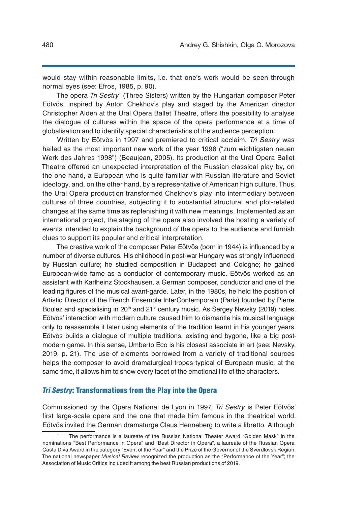would stay within reasonable limits, i.e. that one's work would be seen through normal eyes (see: Efros, 1985, p. 90).

The opera *Tri Sestry*<sup>1</sup> (Three Sisters) written by the Hungarian composer Peter Eötvös, inspired by Anton Chekhov's play and staged by the American director Christopher Alden at the Ural Opera Ballet Theatre, offers the possibility to analyse the dialogue of cultures within the space of the opera performance at a time of globalisation and to identify special characteristics of the audience perception.

Written by Eötvös in 1997 and premiered to critical acclaim, *Tri Sestry* was hailed as the most important new work of the year 1998 ("zum wichtigsten neuen Werk des Jahres 1998") (Beaujean, 2005). Its production at the Ural Opera Ballet Theatre offered an unexpected interpretation of the Russian classical play by, on the one hand, a European who is quite familiar with Russian literature and Soviet ideology, and, on the other hand, by a representative of American high culture. Thus, the Ural Opera production transformed Chekhov's play into intermediary between cultures of three countries, subjecting it to substantial structural and plot-related changes at the same time as replenishing it with new meanings. Implemented as an international project, the staging of the opera also involved the hosting a variety of events intended to explain the background of the opera to the audience and furnish clues to support its popular and critical interpretation.

The creative work of the composer Peter Eötvös (born in 1944) is influenced by a number of diverse cultures. His childhood in post-war Hungary was strongly influenced by Russian culture; he studied composition in Budapest and Cologne; he gained European-wide fame as a conductor of contemporary music. Eötvös worked as an assistant with Karlheinz Stockhausen, a German composer, conductor and one of the leading figures of the musical avant-garde. Later, in the 1980s, he held the position of Artistic Director of the French Ensemble InterContemporain (Paris) founded by Pierre Boulez and specialising in  $20<sup>th</sup>$  and  $21<sup>st</sup>$  century music. As Sergey Nevsky (2019) notes, Eötvös' interaction with modern culture caused him to dismantle his musical language only to reassemble it later using elements of the tradition learnt in his younger years. Eötvös builds a dialogue of multiple traditions, existing and bygone, like a big postmodern game. In this sense, Umberto Eco is his closest associate in art (see: Nevsky, 2019, p. 21). The use of elements borrowed from a variety of traditional sources helps the composer to avoid dramaturgical tropes typical of European music; at the same time, it allows him to show every facet of the emotional life of the characters.

## Tri Sestry: Transformations from the Play into the Opera

Commissioned by the Opera National de Lyon in 1997, *Tri Sestry* is Peter Eötvös' first large-scale opera and the one that made him famous in the theatrical world. Eötvös invited the German dramaturge Claus Henneberg to write a libretto. Although

<sup>1</sup> The performance is a laureate of the Russian National Theater Award "Golden Mask" in the nominations "Best Performance in Opera" and "Best Director in Opera", a laureate of the Russian Opera Casta Diva Award in the category "Event of the Year" and the Prize of the Governor of the Sverdlovsk Region. The national newspaper *Musical Review* recognized the production as the "Performance of the Year"; the Association of Music Critics included it among the best Russian productions of 2019.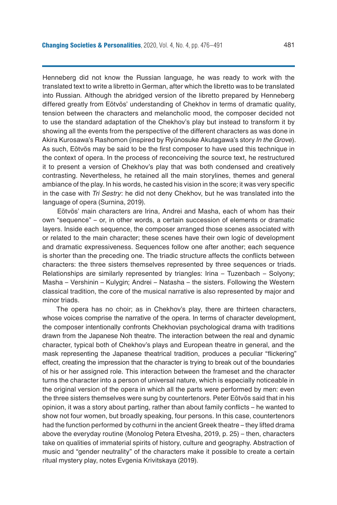Henneberg did not know the Russian language, he was ready to work with the translated text to write a libretto in German, after which the libretto was to be translated into Russian*.* Although the abridged version of the libretto prepared by Henneberg differed greatly from Eötvös' understanding of Chekhov in terms of dramatic quality, tension between the characters and melancholic mood, the composer decided not to use the standard adaptation of the Chekhov's play but instead to transform it by showing all the events from the perspective of the different characters as was done in Akira Kurosawa's Rashomon (inspired by Ryūnosuke Akutagawa's story *In the Grove*). As such, Eötvös may be said to be the first composer to have used this technique in the context of opera. In the process of reconceiving the source text, he restructured it to present a version of Chekhov's play that was both condensed and creatively contrasting. Nevertheless, he retained all the main storylines, themes and general ambiance of the play. In his words, he casted his vision in the score; it was very specific in the case with *Tri Sestry*: he did not deny Chekhov, but he was translated into the language of opera (Surnina, 2019).

Eötvös' main characters are Irina, Andrei and Masha, each of whom has their own "sequence" – or, in other words, a certain succession of elements or dramatic layers. Inside each sequence, the composer arranged those scenes associated with or related to the main character; these scenes have their own logic of development and dramatic expressiveness. Sequences follow one after another; each sequence is shorter than the preceding one. The triadic structure affects the conflicts between characters: the three sisters themselves represented by three sequences or triads. Relationships are similarly represented by triangles: Irina – Tuzenbach – Solyony; Masha – Vershinin – Kulygin; Andrei – Natasha – the sisters. Following the Western classical tradition, the core of the musical narrative is also represented by major and minor triads.

The opera has no choir; as in Chekhov's play, there are thirteen characters, whose voices comprise the narrative of the opera. In terms of character development, the composer intentionally confronts Chekhovian psychological drama with traditions drawn from the Japanese Noh theatre. The interaction between the real and dynamic character, typical both of Chekhov's plays and European theatre in general, and the mask representing the Japanese theatrical tradition, produces a peculiar "flickering" effect, creating the impression that the character is trying to break out of the boundaries of his or her assigned role. This interaction between the frameset and the character turns the character into a person of universal nature, which is especially noticeable in the original version of the opera in which all the parts were performed by men: even the three sisters themselves were sung by countertenors. Peter Eötvös said that in his opinion, it was a story about parting, rather than about family conflicts – he wanted to show not four women, but broadly speaking, four persons. In this case, countertenors had the function performed by cothurni in the ancient Greek theatre – they lifted drama above the everyday routine (Monolog Petera Etvesha, 2019, p. 25) – then, characters take on qualities of immaterial spirits of history, culture and geography. Abstraction of music and "gender neutrality" of the characters make it possible to create a certain ritual mystery play, notes Evgenia Krivitskaya (2019).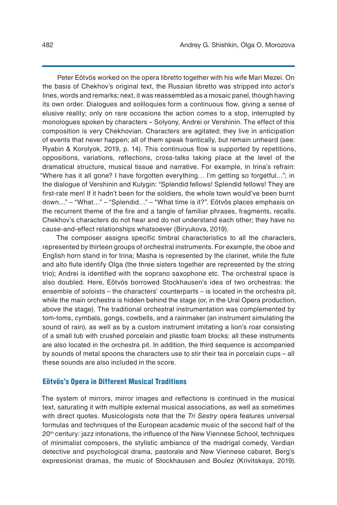Peter Eötvös worked on the opera libretto together with his wife Mari Mezei. On the basis of Chekhov's original text, the Russian libretto was stripped into actor's lines, words and remarks; next, it was reassembled as a mosaic panel, though having its own order. Dialogues and soliloquies form a continuous flow, giving a sense of elusive reality; only on rare occasions the action comes to a stop, interrupted by monologues spoken by characters – Solyony, Andrei or Vershinin. The effect of this composition is very Chekhovian. Characters are agitated; they live in anticipation of events that never happen; all of them speak frantically, but remain unheard (see: Ryabin & Korolyok, 2019, p. 14). This continuous flow is supported by repetitions, oppositions, variations, reflections, cross-talks taking place at the level of the dramatical structure, musical tissue and narrative. For example, in Irina's refrain: "Where has it all gone? I have forgotten everything… I'm getting so forgetful…"; in the dialogue of Vershinin and Kulygin: "Splendid fellows! Splendid fellows! They are first-rate men! If it hadn't been for the soldiers, the whole town would've been burnt down…" – "What…" – "Splendid…" – "What time is it?". Eötvös places emphasis on the recurrent theme of the fire and a tangle of familiar phrases, fragments, recalls. Chekhov's characters do not hear and do not understand each other; they have no cause-and-effect relationships whatsoever (Biryukova, 2019).

The composer assigns specific timbral characteristics to all the characters, represented by thirteen groups of orchestral instruments. For example, the oboe and English horn stand in for Irina; Masha is represented by the clarinet, while the flute and alto flute identify Olga (the three sisters together are represented by the string trio); Andrei is identified with the soprano saxophone etc. The orchestral space is also doubled. Here, Eötvös borrowed Stockhausen's idea of two orchestras: the ensemble of soloists – the characters' counterparts – is located in the orchestra pit, while the main orchestra is hidden behind the stage (or, in the Ural Opera production, above the stage). The traditional orchestral instrumentation was complemented by tom-toms, cymbals, gongs, cowbells, and a rainmaker (an instrument simulating the sound of rain), as well as by a custom instrument imitating a lion's roar consisting of a small tub with crushed porcelain and plastic foam blocks: all these instruments are also located in the orchestra pit. In addition, the third sequence is accompanied by sounds of metal spoons the characters use to stir their tea in porcelain cups – all these sounds are also included in the score.

#### Eötvös's Opera in Different Musical Traditions

The system of mirrors, mirror images and reflections is continued in the musical text, saturating it with multiple external musical associations, as well as sometimes with direct quotes. Musicologists note that the *Tri Sestry* opera features universal formulas and techniques of the European academic music of the second half of the 20<sup>th</sup> century: jazz intonations, the influence of the New Viennese School, techniques of minimalist composers, the stylistic ambiance of the madrigal comedy, Verdian detective and psychological drama, pastorale and New Viennese cabaret, Berg's expressionist dramas, the music of Stockhausen and Boulez (Krivitskaya, 2019).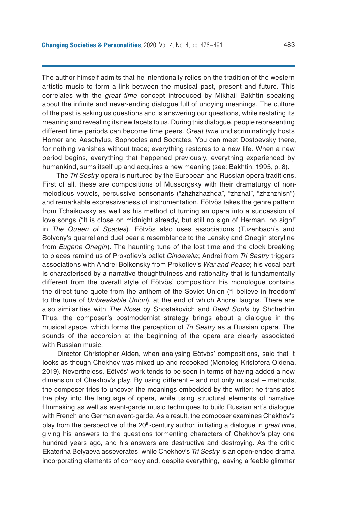The author himself admits that he intentionally relies on the tradition of the western artistic music to form a link between the musical past, present and future. This correlates with the *great time* concept introduced by Mikhail Bakhtin speaking about the infinite and never-ending dialogue full of undying meanings. The culture of the past is asking us questions and is answering our questions, while restating its meaning and revealing its new facets to us. During this dialogue, people representing different time periods can become time peers. *Great time* undiscriminatingly hosts Homer and Aeschylus, Sophocles and Socrates. You can meet Dostoevsky there, for nothing vanishes without trace; everything restores to a new life. When a new period begins, everything that happened previously, everything experienced by humankind, sums itself up and acquires a new meaning (see: Bakhtin, 1995, p. 8).

The *Tri Sestry* opera is nurtured by the European and Russian opera traditions. First of all, these are compositions of Mussorgsky with their dramaturgy of nonmelodious vowels, percussive consonants ("zhzhzhazhda", "zhzhal", "zhzhzhisn") and remarkable expressiveness of instrumentation. Eötvös takes the genre pattern from Tchaikovsky as well as his method of turning an opera into a succession of love songs ("It is close on midnight already, but still no sign of Herman, no sign!" in *The Queen of Spades*). Eötvös also uses associations (Tuzenbach's and Solyony's quarrel and duel bear a resemblance to the Lensky and Onegin storyline from *Eugene Onegin*). The haunting tune of the lost time and the clock breaking to pieces remind us of Prokofiev's ballet *Cinderella*; Andrei from *Tri Sestry* triggers associations with Andrei Bolkonsky from Prokofiev's *War and Peace*; his vocal part is characterised by a narrative thoughtfulness and rationality that is fundamentally different from the overall style of Eötvös' composition; his monologue contains the direct tune quote from the anthem of the Soviet Union ("I believe in freedom" to the tune of *Unbreakable Union*), at the end of which Andrei laughs. There are also similarities with *The Nose* by Shostakovich and *Dead Souls* by Shchedrin. Thus, the composer's postmodernist strategy brings about a dialogue in the musical space, which forms the perception of *Tri Sestry* as a Russian opera. The sounds of the accordion at the beginning of the opera are clearly associated with Russian music.

Director Christopher Alden, when analysing Eötvös' compositions, said that it looks as though Chekhov was mixed up and recooked (Monolog Kristofera Oldena, 2019). Nevertheless, Eötvös' work tends to be seen in terms of having added a new dimension of Chekhov's play. By using different – and not only musical – methods, the composer tries to uncover the meanings embedded by the writer; he translates the play into the language of opera, while using structural elements of narrative filmmaking as well as avant-garde music techniques to build Russian art's dialogue with French and German avant-garde. As a result, the composer examines Chekhov's play from the perspective of the 20<sup>th</sup>-century author, initiating a dialogue in *great time*, giving his answers to the questions tormenting characters of Chekhov's play one hundred years ago, and his answers are destructive and destroying. As the critic Ekaterina Belyaeva asseverates, while Chekhov's *Tri Sestry* is an open-ended drama incorporating elements of comedy and, despite everything, leaving a feeble glimmer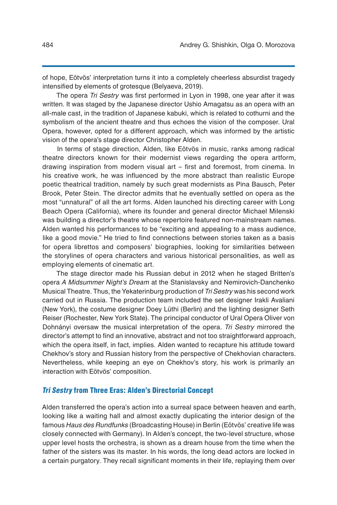of hope, Eötvös' interpretation turns it into a completely cheerless absurdist tragedy intensified by elements of grotesque (Belyaeva, 2019).

The opera *Tri Sestry* was first performed in Lyon in 1998, one year after it was written. It was staged by the Japanese director Ushio Amagatsu as an opera with an all-male cast, in the tradition of Japanese kabuki, which is related to cothurni and the symbolism of the ancient theatre and thus echoes the vision of the composer. Ural Opera, however, opted for a different approach, which was informed by the artistic vision of the opera's stage director Christopher Alden.

In terms of stage direction, Alden, like Eötvös in music, ranks among radical theatre directors known for their modernist views regarding the opera artform, drawing inspiration from modern visual art – first and foremost, from cinema. In his creative work, he was influenced by the more abstract than realistic Europe poetic theatrical tradition, namely by such great modernists as Pina Bausch, Peter Brook, Peter Stein. The director admits that he eventually settled on opera as the most "unnatural" of all the art forms. Alden launched his directing career with Long Beach Opera (California), where its founder and general director Michael Milenski was building a director's theatre whose repertoire featured non-mainstream names. Alden wanted his performances to be "exciting and appealing to a mass audience, like a good movie." He tried to find connections between stories taken as a basis for opera librettos and composers' biographies, looking for similarities between the storylines of opera characters and various historical personalities, as well as employing elements of cinematic art.

The stage director made his Russian debut in 2012 when he staged Britten's opera *A Midsummer Night's Dream* at the Stanislavsky and Nemirovich-Danchenko Musical Theatre. Thus, the Yekaterinburg production of *Tri Sestry* was his second work carried out in Russia. The production team included the set designer Irakli Avaliani (New York), the costume designer Doey Lüthi (Berlin) and the lighting designer Seth Reiser (Rochester, New York State). The principal conductor of Ural Opera Oliver von Dohnányi oversaw the musical interpretation of the opera. *Tri Sestry* mirrored the director's attempt to find an innovative, abstract and not too straightforward approach, which the opera itself, in fact, implies. Alden wanted to recapture his attitude toward Chekhov's story and Russian history from the perspective of Chekhovian characters. Nevertheless, while keeping an eye on Chekhov's story, his work is primarily an interaction with Eötvös' composition.

#### Tri Sestry from Three Eras: Alden's Directorial Concept

Alden transferred the opera's action into a surreal space between heaven and earth, looking like a waiting hall and almost exactly duplicating the interior design of the famous *Haus des Rundfunks* (Broadcasting House) in Berlin (Eötvös' creative life was closely connected with Germany). In Alden's concept, the two-level structure, whose upper level hosts the orchestra, is shown as a dream house from the time when the father of the sisters was its master. In his words, the long dead actors are locked in a certain purgatory. They recall significant moments in their life, replaying them over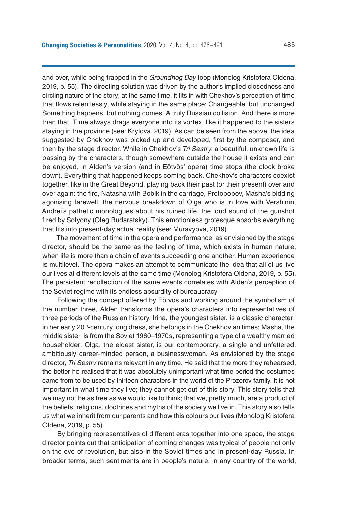and over, while being trapped in the *Groundhog Day* loop (Monolog Kristofera Oldena, 2019, p. 55). The directing solution was driven by the author's implied closedness and circling nature of the story; at the same time, it fits in with Chekhov's perception of time that flows relentlessly, while staying in the same place: Changeable, but unchanged. Something happens, but nothing comes. A truly Russian collision. And there is more than that. Time always drags everyone into its vortex, like it happened to the sisters staying in the province (see: Krylova, 2019). As can be seen from the above, the idea suggested by Chekhov was picked up and developed, first by the composer, and then by the stage director. While in Chekhov's *Tri Sestry*, a beautiful, unknown life is passing by the characters, though somewhere outside the house it exists and can be enjoyed, in Alden's version (and in Eötvös' opera) time stops (the clock broke down). Everything that happened keeps coming back. Chekhov's characters coexist together, like in the Great Beyond, playing back their past (or their present) over and over again: the fire, Natasha with Bobik in the carriage, Protopopov, Masha's bidding agonising farewell, the nervous breakdown of Olga who is in love with Vershinin, Andrei's pathetic monologues about his ruined life, the loud sound of the gunshot fired by Solyony (Oleg Budaratsky). This emotionless grotesque absorbs everything that fits into present-day actual reality (see: Muravyova, 2019).

The movement of time in the opera and performance, as envisioned by the stage director, should be the same as the feeling of time, which exists in human nature, when life is more than a chain of events succeeding one another. Human experience is multilevel. The opera makes an attempt to communicate the idea that all of us live our lives at different levels at the same time (Monolog Kristofera Oldena, 2019, p. 55). The persistent recollection of the same events correlates with Alden's perception of the Soviet regime with its endless absurdity of bureaucracy.

Following the concept offered by Eötvös and working around the symbolism of the number three, Alden transforms the opera's characters into representatives of three periods of the Russian history. Irina, the youngest sister, is a classic character; in her early 20th-century long dress, she belongs in the Chekhovian times; Masha, the middle sister, is from the Soviet 1960–1970s, representing a type of a wealthy married householder; Olga, the eldest sister, is our contemporary, a single and unfettered, ambitiously career-minded person, a businesswoman. As envisioned by the stage director, *Tri Sestry* remains relevant in any time. He said that the more they rehearsed, the better he realised that it was absolutely unimportant what time period the costumes came from to be used by thirteen characters in the world of the Prozorov family. It is not important in what time they live; they cannot get out of this story. This story tells that we may not be as free as we would like to think; that we, pretty much, are a product of the beliefs, religions, doctrines and myths of the society we live in. This story also tells us what we inherit from our parents and how this colours our lives (Monolog Kristofera Oldena, 2019, p. 55).

By bringing representatives of different eras together into one space, the stage director points out that anticipation of coming changes was typical of people not only on the eve of revolution, but also in the Soviet times and in present-day Russia. In broader terms, such sentiments are in people's nature, in any country of the world,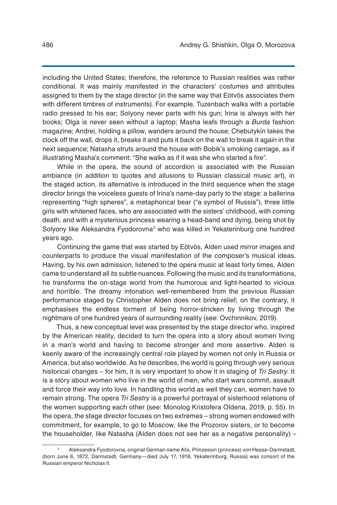including the United States; therefore, the reference to Russian realities was rather conditional. It was mainly manifested in the characters' costumes and attributes assigned to them by the stage director (in the same way that Eötvös associates them with different timbres of instruments). For example, Tuzenbach walks with a portable radio pressed to his ear; Solyony never parts with his gun; Irina is always with her books; Olga is never seen without a laptop; Masha leafs through a *Burda* fashion magazine; Andrei, holding a pillow, wanders around the house; Chebutykin takes the clock off the wall, drops it, breaks it and puts it back on the wall to break it again in the next sequence; Natasha struts around the house with Bobik's smoking carriage, as if illustrating Masha's comment: "She walks as if it was she who started a fire".

While in the opera, the sound of accordion is associated with the Russian ambiance (in addition to quotes and allusions to Russian classical music art), in the staged action, its alternative is introduced in the third sequence when the stage director brings the voiceless guests of Irina's name-day party to the stage: a ballerina representing "high spheres", a metaphorical bear ("a symbol of Russia"), three little girls with whitened faces, who are associated with the sisters' childhood, with coming death, and with a mysterious princess wearing a head-band and dying, being shot by Solyony like Aleksandra Fyodorovna<sup>2</sup> who was killed in Yekaterinburg one hundred years ago.

Continuing the game that was started by Eötvös, Alden used mirror images and counterparts to produce the visual manifestation of the composer's musical ideas. Having, by his own admission, listened to the opera music at least forty times, Alden came to understand all its subtle nuances. Following the music and its transformations, he transforms the on-stage world from the humorous and light-hearted to vicious and horrible. The dreamy intonation well-remembered from the previous Russian performance staged by Christopher Alden does not bring relief; on the contrary, it emphasises the endless torment of being horror-stricken by living through the nightmare of one hundred years of surrounding reality (see: Ovchinnikov, 2019).

Thus, a new conceptual level was presented by the stage director who, inspired by the American reality, decided to turn the opera into a story about women living in a man's world and having to become stronger and more assertive. Alden is keenly aware of the increasingly central role played by women not only in Russia or America, but also worldwide. As he describes, the world is going through very serious historical changes – for him, it is very important to show it in staging of *Tri Sestry*. It is a story about women who live in the world of men, who start wars commit, assault and force their way into love. In handling this world as well they can, women have to remain strong. The opera *Tri Sestry* is a powerful portrayal of sisterhood relations of the women supporting each other (see: Monolog Kristofera Oldena, 2019, p. 55). In the opera, the stage director focuses on two extremes – strong women endowed with commitment, for example, to go to Moscow, like the Prozorov sisters, or to become the householder, like Natasha (Alden does not see her as a negative personality) –

<sup>2</sup> Aleksandra Fyodorovna, original German name Alix, Prinzessin (princess) von Hesse-Darmstadt, (born June 6, 1872, Darmstadt, Germany—died July 17, 1918, Yekaterinburg, Russia) was consort of the Russian emperor Nicholas II.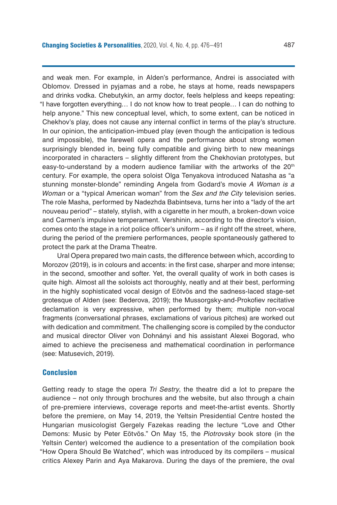and weak men. For example, in Alden's performance, Andrei is associated with Oblomov. Dressed in pyjamas and a robe, he stays at home, reads newspapers and drinks vodka. Chebutykin, an army doctor, feels helpless and keeps repeating: "I have forgotten everything… I do not know how to treat people… I can do nothing to help anyone." This new conceptual level, which, to some extent, can be noticed in Chekhov's play, does not cause any internal conflict in terms of the play's structure. In our opinion, the anticipation-imbued play (even though the anticipation is tedious and impossible), the farewell opera and the performance about strong women surprisingly blended in, being fully compatible and giving birth to new meanings incorporated in characters – slightly different from the Chekhovian prototypes, but easy-to-understand by a modern audience familiar with the artworks of the  $20<sup>th</sup>$ century. For example, the opera soloist Olga Tenyakova introduced Natasha as "a stunning monster-blonde" reminding Angela from Godard's movie *A Woman is a Woman* or a "typical American woman" from the *Sex and the City* television series. The role Masha, performed by Nadezhda Babintseva, turns her into a "lady of the art nouveau period" – stately, stylish, with a cigarette in her mouth, a broken-down voice and Carmen's impulsive temperament. Vershinin, according to the director's vision, comes onto the stage in a riot police officer's uniform – as if right off the street, where, during the period of the premiere performances, people spontaneously gathered to protect the park at the Drama Theatre.

Ural Opera prepared two main casts, the difference between which, according to Morozov (2019), is in colours and accents: in the first case, sharper and more intense; in the second, smoother and softer. Yet, the overall quality of work in both cases is quite high. Almost all the soloists act thoroughly, neatly and at their best, performing in the highly sophisticated vocal design of Eötvös and the sadness-laced stage-set grotesque of Alden (see: Bederova, 2019); the Mussorgsky-and-Prokofiev recitative declamation is very expressive, when performed by them; multiple non-vocal fragments (conversational phrases, exclamations of various pitches) are worked out with dedication and commitment. The challenging score is compiled by the conductor and musical director Oliver von Dohnányi and his assistant Alexei Bogorad, who aimed to achieve the preciseness and mathematical coordination in performance (see: Matusevich, 2019).

#### **Conclusion**

Getting ready to stage the opera *Tri Sestry*, the theatre did a lot to prepare the audience – not only through brochures and the website, but also through a chain of pre-premiere interviews, coverage reports and meet-the-artist events. Shortly before the premiere, on May 14, 2019, the Yeltsin Presidential Centre hosted the Hungarian musicologist Gergely Fazekas reading the lecture "Love and Other Demons: Music by Peter Eötvös." On May 15, the *Piotrovsky* book store (in the Yeltsin Center) welcomed the audience to a presentation of the compilation book "How Opera Should Be Watched", which was introduced by its compilers – musical critics Alexey Parin and Aya Makarova. During the days of the premiere, the oval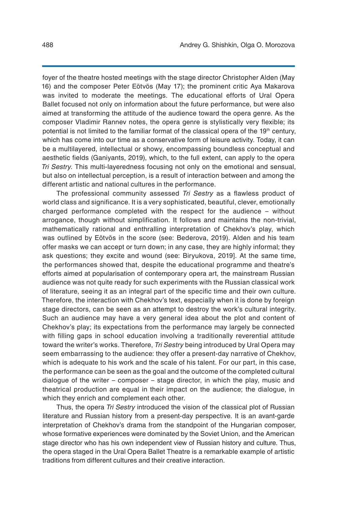foyer of the theatre hosted meetings with the stage director Christopher Alden (May 16) and the composer Peter Eötvös (May 17); the prominent critic Aya Makarova was invited to moderate the meetings. The educational efforts of Ural Opera Ballet focused not only on information about the future performance, but were also aimed at transforming the attitude of the audience toward the opera genre. As the composer Vladimir Rannev notes, the opera genre is stylistically very flexible; its potential is not limited to the familiar format of the classical opera of the  $19<sup>th</sup>$  century, which has come into our time as a conservative form of leisure activity. Today, it can be a multilayered, intellectual or showy, encompassing boundless conceptual and aesthetic fields (Ganiyants, 2019), which, to the full extent, can apply to the opera *Tri Sestry*. This multi-layeredness focusing not only on the emotional and sensual, but also on intellectual perception, is a result of interaction between and among the different artistic and national cultures in the performance.

The professional community assessed *Tri Sestry* as a flawless product of world class and significance. It is a very sophisticated, beautiful, clever, emotionally charged performance completed with the respect for the audience – without arrogance, though without simplification. It follows and maintains the non-trivial, mathematically rational and enthralling interpretation of Chekhov's play, which was outlined by Eötvös in the score (see: Bederova, 2019). Alden and his team offer masks we can accept or turn down; in any case, they are highly informal; they ask questions; they excite and wound (see: Biryukova, 2019]. At the same time, the performances showed that, despite the educational programme and theatre's efforts aimed at popularisation of contemporary opera art, the mainstream Russian audience was not quite ready for such experiments with the Russian classical work of literature, seeing it as an integral part of the specific time and their own culture. Therefore, the interaction with Chekhov's text, especially when it is done by foreign stage directors, can be seen as an attempt to destroy the work's cultural integrity. Such an audience may have a very general idea about the plot and content of Chekhov's play; its expectations from the performance may largely be connected with filling gaps in school education involving a traditionally reverential attitude toward the writer's works. Therefore, *Tri Sestry* being introduced by Ural Opera may seem embarrassing to the audience: they offer a present-day narrative of Chekhov, which is adequate to his work and the scale of his talent. For our part, in this case, the performance can be seen as the goal and the outcome of the completed cultural dialogue of the writer – composer – stage director, in which the play, music and theatrical production are equal in their impact on the audience; the dialogue, in which they enrich and complement each other.

Thus, the opera *Tri Sestry* introduced the vision of the classical plot of Russian literature and Russian history from a present-day perspective. It is an avant-garde interpretation of Chekhov's drama from the standpoint of the Hungarian composer, whose formative experiences were dominated by the Soviet Union, and the American stage director who has his own independent view of Russian history and culture. Thus, the opera staged in the Ural Opera Ballet Theatre is a remarkable example of artistic traditions from different cultures and their creative interaction.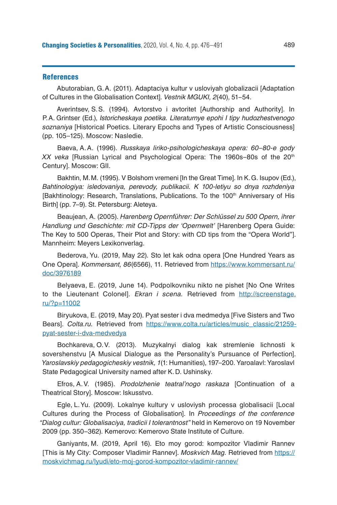#### **References**

Abutorabian, G.A. (2011). Adaptaciya kultur v usloviyah globalizacii [Adaptation of Cultures in the Globalisation Context]. *Vestnik MGUKI, 2*(40), 51–54.

Averintsev, S.S. (1994). Avtorstvo i avtoritet [Authorship and Authority]. In P.A. Grintser (Ed.), *Istoricheskaya poetika. Literaturnye epohi I tipy hudozhestvenogo soznaniya* [Historical Poetics. Literary Epochs and Types of Artistic Consciousness] (pp. 105–125). Moscow: Nasledie.

Baeva, A.A. (1996). *Russkaya liriko-psihologicheskaya opera: 60–80-e gody XX veka* [Russian Lyrical and Psychological Opera: The 1960s–80s of the 20th Century]. Moscow: GII.

Bakhtin, M.M. (1995). V Bolshom vremeni [In the Great Time]. In K.G. Isupov (Ed.), *Bahtinologiya: isledovaniya, perevody, publikacii. K 100-letiyu so dnya rozhdeniya* [Bakhtinology: Research, Translations, Publications. To the 100<sup>th</sup> Anniversary of His Birth] (pp. 7–9). St. Petersburg: Aleteya.

Beaujean, A. (2005). *Harenberg Opernführer: Der Schlüssel zu 500 Opern, ihrer Handlung und Geschichte: mit CD-Tipps der 'Opernwelt'* [Harenberg Opera Guide: The Key to 500 Operas, Their Plot and Story: with CD tips from the "Opera World"]. Mannheim: Meyers Lexikonverlag.

Bederova, Yu. (2019, May 22). Sto let kak odna opera [One Hundred Years as One Opera]. *Kommersant, 86*(6566), 11. Retrieved from [https://www.kommersant.ru/](https://www.kommersant.ru/doc/3976189) [doc/3976189](https://www.kommersant.ru/doc/3976189)

Belyaeva, E. (2019, June 14). Podpolkovniku nikto ne pishet [No One Writes to the Lieutenant Colonel]. *Ekran i scena.* Retrieved from [http://screenstage.](http://screenstage.ru/?p=11002) [ru/?p=11002](http://screenstage.ru/?p=11002)

Biryukova, E. (2019, May 20). Pyat sester i dva medmedya [Five Sisters and Two Bears]. *Colta.ru.* Retrieved from [https://www.colta.ru/articles/music\\_classic/21259](https://www.colta.ru/articles/music_classic/21259-pyat-sester-i-dva-medvedya) [pyat-sester-i-dva-medvedya](https://www.colta.ru/articles/music_classic/21259-pyat-sester-i-dva-medvedya)

Bochkareva, O.V. (2013). Muzykalnyi dialog kak stremlenie lichnosti k sovershenstvu [A Musical Dialogue as the Personality's Pursuance of Perfection]. *Yaroslavskiy pedagogicheskiy vestnik, 1*(1: Humanities), 197–200. Yaroalavl: Yaroslavl State Pedagogical University named after K.D. Ushinsky.

Efros, A.V. (1985). *Prodolzhenie teatral'nogo raskaza* [Continuation of a Theatrical Story]. Moscow: Iskusstvo.

Egle, L.Yu. (2009). Lokalnye kultury v usloviysh processa globalisacii [Local Cultures during the Process of Globalisation]. In *Proceedings of the conference "Dialog cultur: Globalisaciya, tradicii I tolerantnost"* held in Kemerovo on 19 November 2009 (pp. 350–362). Kemerovo: Kemerovo State Institute of Culture.

Ganiyants, M. (2019, April 16). Eto moy gorod: kompozitor Vladimir Rannev [This is My City: Composer Vladimir Rannev]. *Moskvich Mag.* Retrieved from [https://](https://moskvichmag.ru/lyudi/eto-moj-gorod-kompozitor-vladimir-rannev/) [moskvichmag.ru/lyudi/eto-moj-gorod-kompozitor-vladimir-rannev/](https://moskvichmag.ru/lyudi/eto-moj-gorod-kompozitor-vladimir-rannev/)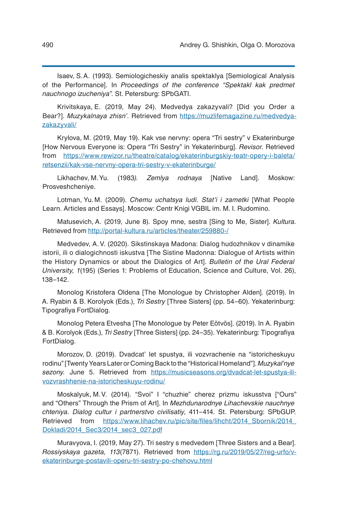Isaev, S.A. (1993). Semiologicheskiy analis spektaklya [Semiological Analysis of the Performance]. In *Proceedings of the conference "Spektakl kak predmet nauchnogo izucheniya".* St. Petersburg: SPbGATI.

Krivitskaya, E. (2019, May 24). Medvedya zakazyvali? [Did you Order a Bear?]. *Muzykalnaya zhisn'*. Retrieved from [https://muzlifemagazine.ru/medvedya](https://muzlifemagazine.ru/medvedya-zakazyvali/)[zakazyvali/](https://muzlifemagazine.ru/medvedya-zakazyvali/)

Krylova, M. (2019, May 19). Kak vse nervny: opera "Tri sestry" v Ekaterinburge [How Nervous Everyone is: Opera "Tri Sestry" in Yekaterinburg]. *Revisor.* Retrieved from [https://www.rewizor.ru/theatre/catalog/ekaterinburgskiy-teatr-opery-i-baleta/](https://www.rewizor.ru/theatre/catalog/ekaterinburgskiy-teatr-opery-i-baleta/retsenzii/kak-vse-nervny-opera-tri-sestry-v-ekaterinburge/) [retsenzii/kak-vse-nervny-opera-tri-sestry-v-ekaterinburge/](https://www.rewizor.ru/theatre/catalog/ekaterinburgskiy-teatr-opery-i-baleta/retsenzii/kak-vse-nervny-opera-tri-sestry-v-ekaterinburge/)

Likhachev, M.Yu. (1983*). Zemlya rodnaya* [Native Land]. Moskow: Prosveshcheniye.

Lotman, Yu. M. (2009). *Chemu uchatsya ludi. Stat'i i zametki* [What People Learn. Articles and Essays]. Moscow: Centr Knigi VGBIL im. M. I. Rudomino.

Matusevich, A. (2019, June 8). Spoy mne, sestra [Sing to Me, Sister]. *Kultura.*  Retrieved from <http://portal-kultura.ru/articles/theater/259880-/>

Medvedev, A.V. (2020). Sikstinskaya Madona: Dialog hudozhnikov v dinamike istorii, ili o dialogichnosti iskustva [The Sistine Madonna: Dialogue of Artists within the History Dynamics or about the Dialogics of Art]. *Bulletin of the Ural Federal University, 1*(195) (Series 1: Problems of Education, Science and Culture, Vol. 26), 138–142.

Monolog Kristofera Oldena [The Monologue by Christopher Alden]. (2019). In A. Ryabin & B. Korolyok (Eds.), *Tri Sestry* [Three Sisters] (pp. 54–60). Yekaterinburg: Tipografiya FortDialog.

Monolog Petera Etvesha [The Monologue by Peter Eötvös]. (2019). In A. Ryabin & B. Korolyok (Eds.), *Tri Sestry* [Three Sisters] (pp. 24–35). Yekaterinburg: Tipografiya FortDialog.

Morozov, D. (2019). Dvadcat' let spustya, ili vozvrachenie na "istoricheskuyu rodinu" [Twenty Years Later or Coming Back to the "Historical Homeland"]. *Muzykal'nye sezony.* June 5. Retrieved from [https://musicseasons.org/dvadcat-let-spustya-ili](https://musicseasons.org/dvadcat-let-spustya-ili-vozvrashhenie-na-istoricheskuyu-rodinu/)[vozvrashhenie-na-istoricheskuyu-rodinu/](https://musicseasons.org/dvadcat-let-spustya-ili-vozvrashhenie-na-istoricheskuyu-rodinu/)

Moskalyuk, M.V. (2014). "Svoi" I "chuzhie" cherez prizmu iskusstva ["Ours" and "Others" Through the Prism of Art]. In *Mezhdunarodnye Lihachevskie nauchnye chteniya. Dialog cultur i partnerstvo civilisatiy*, 411–414. St. Petersburg: SPbGUP. Retrieved from https://www.lihachev.ru/pic/site/files/lihcht/2014 Sbornik/2014 [Dokladi/2014\\_Sec3/2014\\_sec3\\_027.pdf](https://www.lihachev.ru/pic/site/files/lihcht/2014_Sbornik/2014_Dokladi/2014_Sec3/2014_sec3_027.pdf)

Muravyova, I. (2019, May 27). Tri sestry s medvedem [Three Sisters and a Bear]. *Rossiyskaya gazeta, 113*(7871). Retrieved from [https://rg.ru/2019/05/27/reg-urfo/v](https://rg.ru/2019/05/27/reg-urfo/v-ekaterinburge-postavili-operu-tri-sestry-po-chehovu.html)[ekaterinburge-postavili-operu-tri-sestry-po-chehovu.html](https://rg.ru/2019/05/27/reg-urfo/v-ekaterinburge-postavili-operu-tri-sestry-po-chehovu.html)